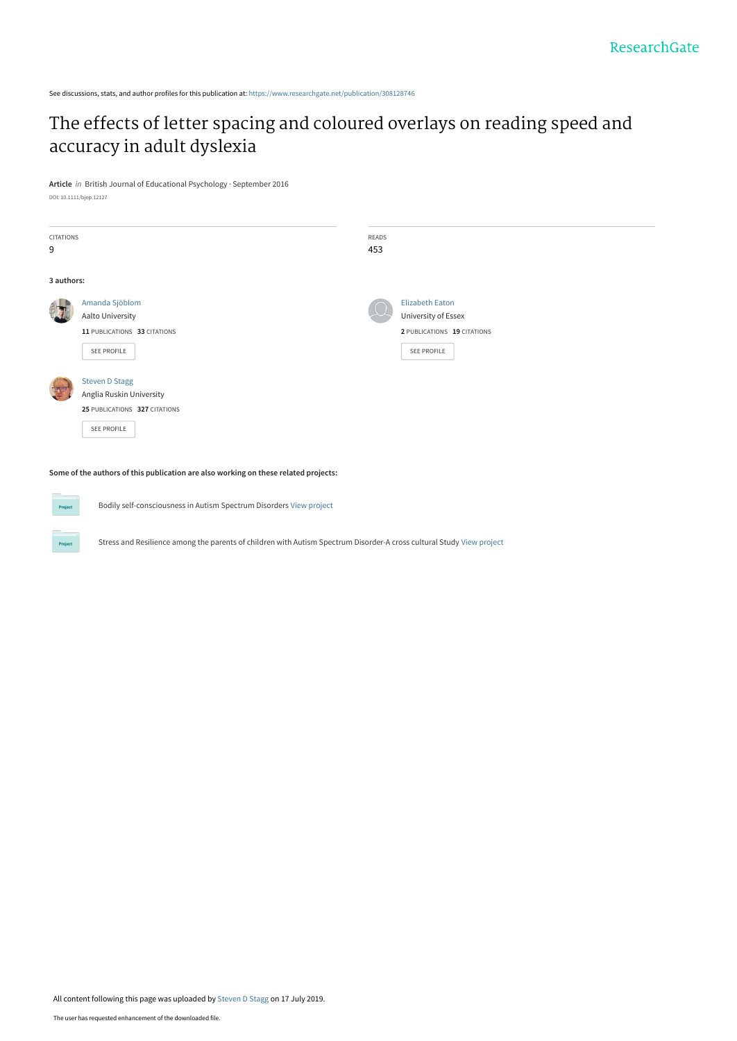See discussions, stats, and author profiles for this publication at: [https://www.researchgate.net/publication/308128746](https://www.researchgate.net/publication/308128746_The_effects_of_letter_spacing_and_coloured_overlays_on_reading_speed_and_accuracy_in_adult_dyslexia?enrichId=rgreq-27bcd37ffbca4aceb95520f1da6d0d95-XXX&enrichSource=Y292ZXJQYWdlOzMwODEyODc0NjtBUzo3ODE2MDM5MjQwODY3ODVAMTU2MzM2MDMwNTQwNA%3D%3D&el=1_x_2&_esc=publicationCoverPdf)

# [The effects of letter spacing and coloured overlays on reading speed and](https://www.researchgate.net/publication/308128746_The_effects_of_letter_spacing_and_coloured_overlays_on_reading_speed_and_accuracy_in_adult_dyslexia?enrichId=rgreq-27bcd37ffbca4aceb95520f1da6d0d95-XXX&enrichSource=Y292ZXJQYWdlOzMwODEyODc0NjtBUzo3ODE2MDM5MjQwODY3ODVAMTU2MzM2MDMwNTQwNA%3D%3D&el=1_x_3&_esc=publicationCoverPdf) accuracy in adult dyslexia

**Article** in British Journal of Educational Psychology · September 2016 DOI: 10.1111/bjep.12127

|  | DOI: 10.1111/DJGD.1Z1Z7 |  |
|--|-------------------------|--|
|  |                         |  |

| CITATIONS  |                               | READS |                             |
|------------|-------------------------------|-------|-----------------------------|
| 9          |                               | 453   |                             |
|            |                               |       |                             |
| 3 authors: |                               |       |                             |
|            | Amanda Sjöblom                |       | <b>Elizabeth Eaton</b>      |
|            | Aalto University              |       | University of Essex         |
|            | 11 PUBLICATIONS 33 CITATIONS  |       | 2 PUBLICATIONS 19 CITATIONS |
|            | SEE PROFILE                   |       | SEE PROFILE                 |
|            | <b>Steven D Stagg</b>         |       |                             |
|            | Anglia Ruskin University      |       |                             |
|            | 25 PUBLICATIONS 327 CITATIONS |       |                             |
|            | SEE PROFILE                   |       |                             |
|            |                               |       |                             |

**Some of the authors of this publication are also working on these related projects:**

**Project** 

Bodily self-consciousness in Autism Spectrum Disorders [View project](https://www.researchgate.net/project/Bodily-self-consciousness-in-Autism-Spectrum-Disorders?enrichId=rgreq-27bcd37ffbca4aceb95520f1da6d0d95-XXX&enrichSource=Y292ZXJQYWdlOzMwODEyODc0NjtBUzo3ODE2MDM5MjQwODY3ODVAMTU2MzM2MDMwNTQwNA%3D%3D&el=1_x_9&_esc=publicationCoverPdf)

Stress and Resilience among the parents of children with Autism Spectrum Disorder-A cross cultural Study [View project](https://www.researchgate.net/project/Stress-and-Resilience-among-the-parents-of-children-with-Autism-Spectrum-Disorder-A-cross-cultural-Study?enrichId=rgreq-27bcd37ffbca4aceb95520f1da6d0d95-XXX&enrichSource=Y292ZXJQYWdlOzMwODEyODc0NjtBUzo3ODE2MDM5MjQwODY3ODVAMTU2MzM2MDMwNTQwNA%3D%3D&el=1_x_9&_esc=publicationCoverPdf)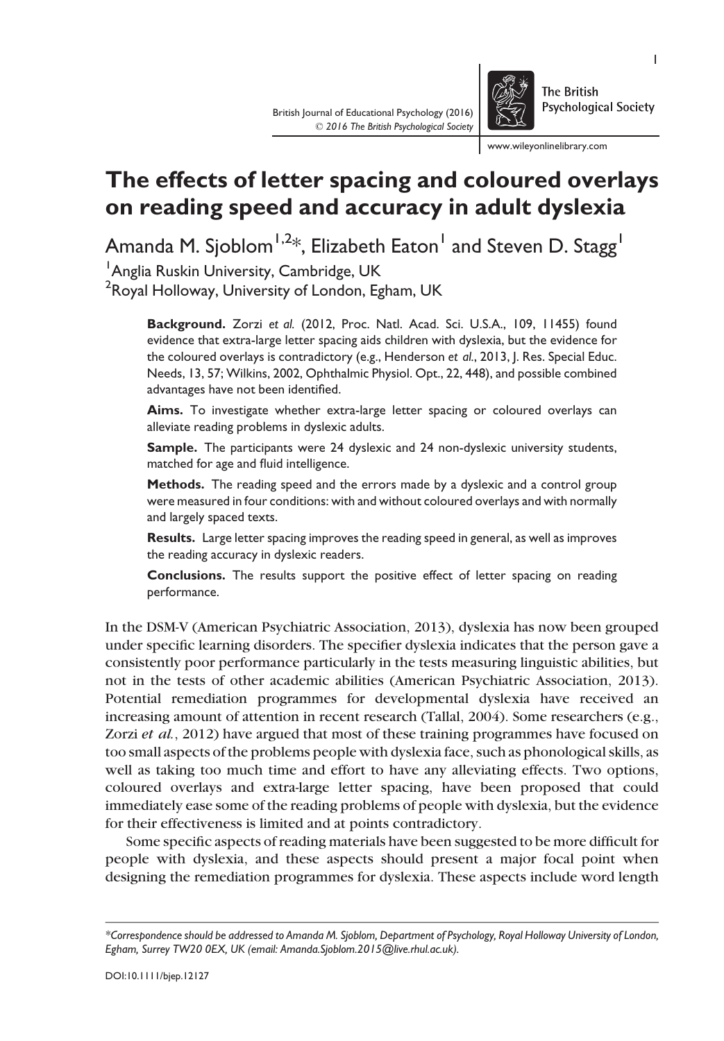

The British Psychological Society

www.wileyonlinelibrary.com

# The effects of letter spacing and coloured overlays on reading speed and accuracy in adult dyslexia

Amanda M. Sjoblom<sup>1,2\*</sup>, Elizabeth Eaton<sup>1</sup> and Steven D. Stagg<sup>1</sup>

1 Anglia Ruskin University, Cambridge, UK

 $^{2}$ Royal Holloway, University of London, Egham, UK

Background. Zorzi et al. (2012, Proc. Natl. Acad. Sci. U.S.A., 109, 11455) found evidence that extra-large letter spacing aids children with dyslexia, but the evidence for the coloured overlays is contradictory (e.g., Henderson et al., 2013, J. Res. Special Educ. Needs, 13, 57; Wilkins, 2002, Ophthalmic Physiol. Opt., 22, 448), and possible combined advantages have not been identified.

Aims. To investigate whether extra-large letter spacing or coloured overlays can alleviate reading problems in dyslexic adults.

Sample. The participants were 24 dyslexic and 24 non-dyslexic university students, matched for age and fluid intelligence.

Methods. The reading speed and the errors made by a dyslexic and a control group were measured in four conditions: with and without coloured overlays and with normally and largely spaced texts.

Results. Large letter spacing improves the reading speed in general, as well as improves the reading accuracy in dyslexic readers.

Conclusions. The results support the positive effect of letter spacing on reading performance.

In the DSM-V (American Psychiatric Association, 2013), dyslexia has now been grouped under specific learning disorders. The specifier dyslexia indicates that the person gave a consistently poor performance particularly in the tests measuring linguistic abilities, but not in the tests of other academic abilities (American Psychiatric Association, 2013). Potential remediation programmes for developmental dyslexia have received an increasing amount of attention in recent research (Tallal, 2004). Some researchers (e.g., Zorzi *et al.*, 2012) have argued that most of these training programmes have focused on too small aspects of the problems people with dyslexia face, such as phonological skills, as well as taking too much time and effort to have any alleviating effects. Two options, coloured overlays and extra-large letter spacing, have been proposed that could immediately ease some of the reading problems of people with dyslexia, but the evidence for their effectiveness is limited and at points contradictory.

Some specific aspects of reading materials have been suggested to be more difficult for people with dyslexia, and these aspects should present a major focal point when designing the remediation programmes for dyslexia. These aspects include word length

<sup>\*</sup>Correspondence should be addressed to Amanda M. Sjoblom, Department of Psychology, Royal Holloway University of London, Egham, Surrey TW20 0EX, UK (email: Amanda.Sjoblom.2015@live.rhul.ac.uk).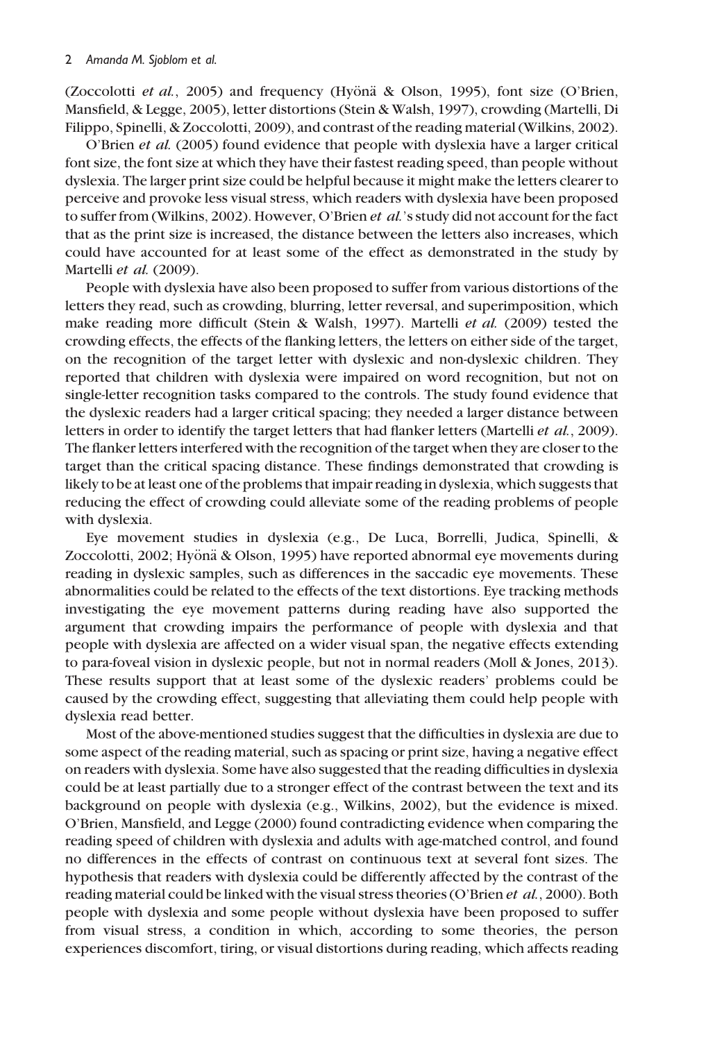(Zoccolotti et al., 2005) and frequency (Hyönä & Olson, 1995), font size (O'Brien, Mansfield, & Legge, 2005), letter distortions (Stein & Walsh, 1997), crowding (Martelli, Di Filippo, Spinelli, & Zoccolotti, 2009), and contrast of the reading material (Wilkins, 2002).

O'Brien et al. (2005) found evidence that people with dyslexia have a larger critical font size, the font size at which they have their fastest reading speed, than people without dyslexia. The larger print size could be helpful because it might make the letters clearer to perceive and provoke less visual stress, which readers with dyslexia have been proposed to suffer from (Wilkins, 2002). However, O'Brien *et al.*'s study did not account for the fact that as the print size is increased, the distance between the letters also increases, which could have accounted for at least some of the effect as demonstrated in the study by Martelli et al. (2009).

People with dyslexia have also been proposed to suffer from various distortions of the letters they read, such as crowding, blurring, letter reversal, and superimposition, which make reading more difficult (Stein & Walsh, 1997). Martelli et al. (2009) tested the crowding effects, the effects of the flanking letters, the letters on either side of the target, on the recognition of the target letter with dyslexic and non-dyslexic children. They reported that children with dyslexia were impaired on word recognition, but not on single-letter recognition tasks compared to the controls. The study found evidence that the dyslexic readers had a larger critical spacing; they needed a larger distance between letters in order to identify the target letters that had flanker letters (Martelli et al., 2009). The flanker letters interfered with the recognition of the target when they are closer to the target than the critical spacing distance. These findings demonstrated that crowding is likely to be at least one of the problems that impair reading in dyslexia, which suggests that reducing the effect of crowding could alleviate some of the reading problems of people with dyslexia.

Eye movement studies in dyslexia (e.g., De Luca, Borrelli, Judica, Spinelli, & Zoccolotti, 2002; Hyönä & Olson, 1995) have reported abnormal eye movements during reading in dyslexic samples, such as differences in the saccadic eye movements. These abnormalities could be related to the effects of the text distortions. Eye tracking methods investigating the eye movement patterns during reading have also supported the argument that crowding impairs the performance of people with dyslexia and that people with dyslexia are affected on a wider visual span, the negative effects extending to para-foveal vision in dyslexic people, but not in normal readers (Moll & Jones, 2013). These results support that at least some of the dyslexic readers' problems could be caused by the crowding effect, suggesting that alleviating them could help people with dyslexia read better.

Most of the above-mentioned studies suggest that the difficulties in dyslexia are due to some aspect of the reading material, such as spacing or print size, having a negative effect on readers with dyslexia. Some have also suggested that the reading difficulties in dyslexia could be at least partially due to a stronger effect of the contrast between the text and its background on people with dyslexia (e.g., Wilkins, 2002), but the evidence is mixed. O'Brien, Mansfield, and Legge (2000) found contradicting evidence when comparing the reading speed of children with dyslexia and adults with age-matched control, and found no differences in the effects of contrast on continuous text at several font sizes. The hypothesis that readers with dyslexia could be differently affected by the contrast of the reading material could be linked with the visual stress theories (O'Brien et al., 2000). Both people with dyslexia and some people without dyslexia have been proposed to suffer from visual stress, a condition in which, according to some theories, the person experiences discomfort, tiring, or visual distortions during reading, which affects reading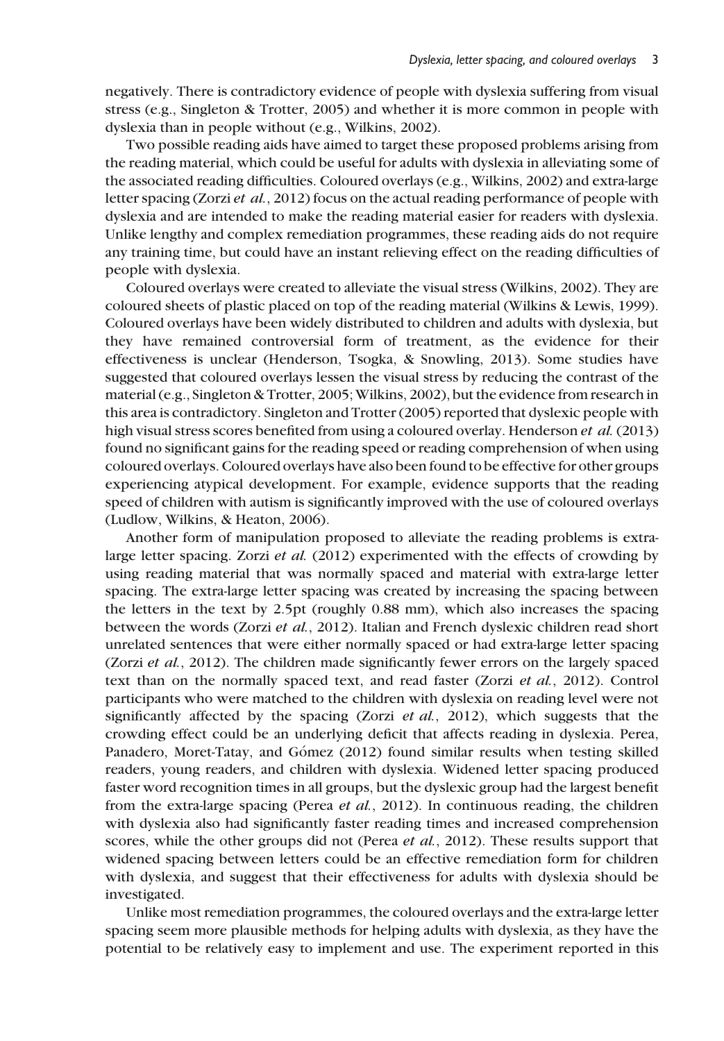negatively. There is contradictory evidence of people with dyslexia suffering from visual stress (e.g., Singleton & Trotter, 2005) and whether it is more common in people with dyslexia than in people without (e.g., Wilkins, 2002).

Two possible reading aids have aimed to target these proposed problems arising from the reading material, which could be useful for adults with dyslexia in alleviating some of the associated reading difficulties. Coloured overlays (e.g., Wilkins, 2002) and extra-large letter spacing (Zorzi et al., 2012) focus on the actual reading performance of people with dyslexia and are intended to make the reading material easier for readers with dyslexia. Unlike lengthy and complex remediation programmes, these reading aids do not require any training time, but could have an instant relieving effect on the reading difficulties of people with dyslexia.

Coloured overlays were created to alleviate the visual stress (Wilkins, 2002). They are coloured sheets of plastic placed on top of the reading material (Wilkins & Lewis, 1999). Coloured overlays have been widely distributed to children and adults with dyslexia, but they have remained controversial form of treatment, as the evidence for their effectiveness is unclear (Henderson, Tsogka, & Snowling, 2013). Some studies have suggested that coloured overlays lessen the visual stress by reducing the contrast of the material (e.g., Singleton & Trotter, 2005;Wilkins, 2002), but the evidence from research in this area is contradictory. Singleton and Trotter (2005) reported that dyslexic people with high visual stress scores benefited from using a coloured overlay. Henderson et al. (2013) found no significant gains for the reading speed or reading comprehension of when using coloured overlays. Coloured overlays have also been found to be effective for other groups experiencing atypical development. For example, evidence supports that the reading speed of children with autism is significantly improved with the use of coloured overlays (Ludlow, Wilkins, & Heaton, 2006).

Another form of manipulation proposed to alleviate the reading problems is extralarge letter spacing. Zorzi et al. (2012) experimented with the effects of crowding by using reading material that was normally spaced and material with extra-large letter spacing. The extra-large letter spacing was created by increasing the spacing between the letters in the text by 2.5pt (roughly 0.88 mm), which also increases the spacing between the words (Zorzi et al., 2012). Italian and French dyslexic children read short unrelated sentences that were either normally spaced or had extra-large letter spacing (Zorzi et al., 2012). The children made significantly fewer errors on the largely spaced text than on the normally spaced text, and read faster (Zorzi et al., 2012). Control participants who were matched to the children with dyslexia on reading level were not significantly affected by the spacing (Zorzi et  $al$ , 2012), which suggests that the crowding effect could be an underlying deficit that affects reading in dyslexia. Perea, Panadero, Moret-Tatay, and Gómez (2012) found similar results when testing skilled readers, young readers, and children with dyslexia. Widened letter spacing produced faster word recognition times in all groups, but the dyslexic group had the largest benefit from the extra-large spacing (Perea et al., 2012). In continuous reading, the children with dyslexia also had significantly faster reading times and increased comprehension scores, while the other groups did not (Perea *et al.*, 2012). These results support that widened spacing between letters could be an effective remediation form for children with dyslexia, and suggest that their effectiveness for adults with dyslexia should be investigated.

Unlike most remediation programmes, the coloured overlays and the extra-large letter spacing seem more plausible methods for helping adults with dyslexia, as they have the potential to be relatively easy to implement and use. The experiment reported in this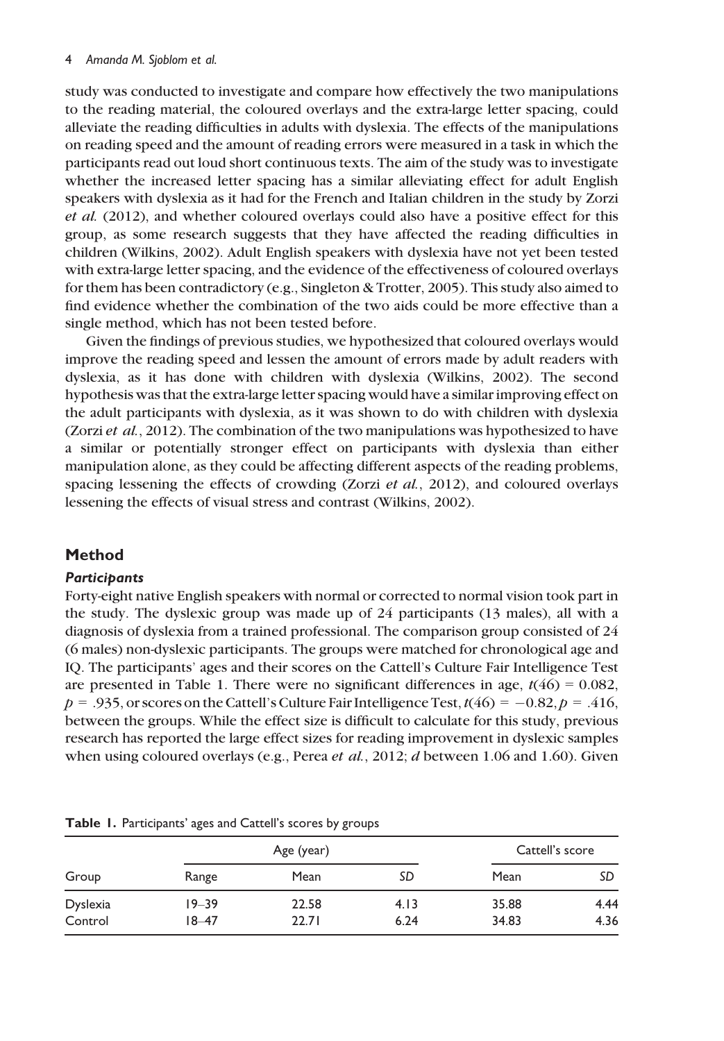study was conducted to investigate and compare how effectively the two manipulations to the reading material, the coloured overlays and the extra-large letter spacing, could alleviate the reading difficulties in adults with dyslexia. The effects of the manipulations on reading speed and the amount of reading errors were measured in a task in which the participants read out loud short continuous texts. The aim of the study was to investigate whether the increased letter spacing has a similar alleviating effect for adult English speakers with dyslexia as it had for the French and Italian children in the study by Zorzi et al. (2012), and whether coloured overlays could also have a positive effect for this group, as some research suggests that they have affected the reading difficulties in children (Wilkins, 2002). Adult English speakers with dyslexia have not yet been tested with extra-large letter spacing, and the evidence of the effectiveness of coloured overlays for them has been contradictory (e.g., Singleton & Trotter, 2005). This study also aimed to find evidence whether the combination of the two aids could be more effective than a single method, which has not been tested before.

Given the findings of previous studies, we hypothesized that coloured overlays would improve the reading speed and lessen the amount of errors made by adult readers with dyslexia, as it has done with children with dyslexia (Wilkins, 2002). The second hypothesis was that the extra-large letter spacing would have a similar improving effect on the adult participants with dyslexia, as it was shown to do with children with dyslexia (Zorzi et al., 2012). The combination of the two manipulations was hypothesized to have a similar or potentially stronger effect on participants with dyslexia than either manipulation alone, as they could be affecting different aspects of the reading problems, spacing lessening the effects of crowding (Zorzi *et al.*, 2012), and coloured overlays lessening the effects of visual stress and contrast (Wilkins, 2002).

# Method

## **Participants**

Forty-eight native English speakers with normal or corrected to normal vision took part in the study. The dyslexic group was made up of 24 participants (13 males), all with a diagnosis of dyslexia from a trained professional. The comparison group consisted of 24 (6 males) non-dyslexic participants. The groups were matched for chronological age and IQ. The participants' ages and their scores on the Cattell's Culture Fair Intelligence Test are presented in Table 1. There were no significant differences in age,  $t(46) = 0.082$ ,  $p = .935$ , or scores on the Cattell's Culture Fair Intelligence Test,  $t(46) = -0.82$ ,  $p = .416$ , between the groups. While the effect size is difficult to calculate for this study, previous research has reported the large effect sizes for reading improvement in dyslexic samples when using coloured overlays (e.g., Perea et al., 2012;  $d$  between 1.06 and 1.60). Given

Table 1. Participants' ages and Cattell's scores by groups

| Group    |           | Age (year) | Cattell's score |       |      |
|----------|-----------|------------|-----------------|-------|------|
|          | Range     | Mean       | SD              | Mean  | SD   |
| Dyslexia | $19 - 39$ | 22.58      | 4.13            | 35.88 | 4.44 |
| Control  | $18 - 47$ | 22.71      | 6.24            | 34.83 | 4.36 |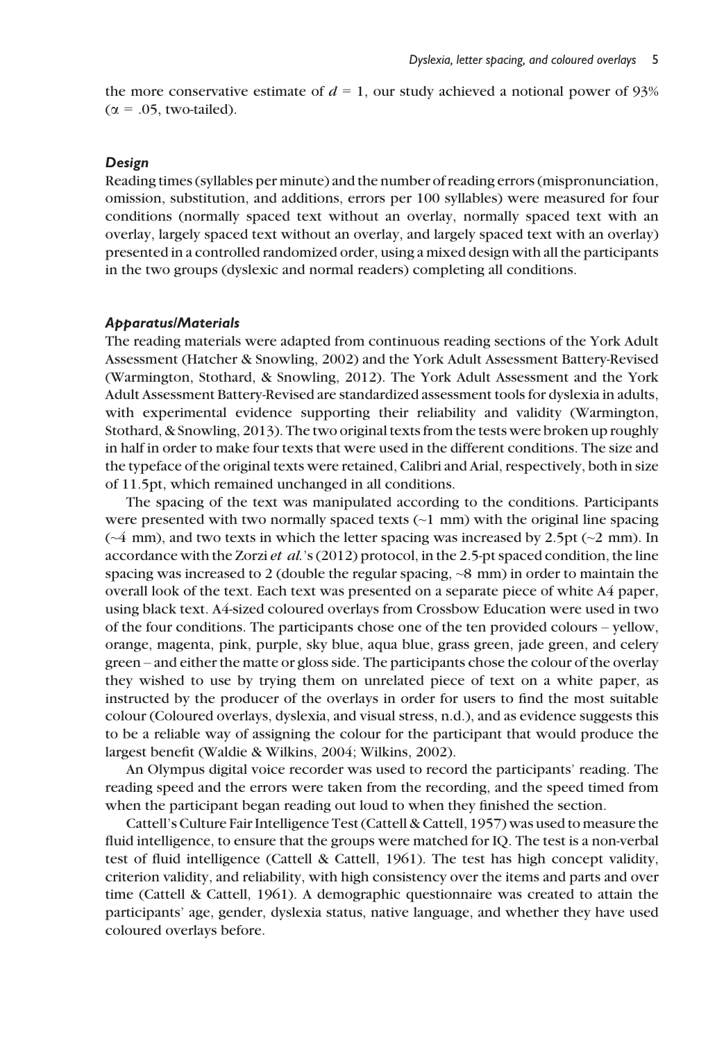the more conservative estimate of  $d = 1$ , our study achieved a notional power of 93%  $(\alpha = .05,$  two-tailed).

#### Design

Reading times (syllables per minute) and the number of reading errors (mispronunciation, omission, substitution, and additions, errors per 100 syllables) were measured for four conditions (normally spaced text without an overlay, normally spaced text with an overlay, largely spaced text without an overlay, and largely spaced text with an overlay) presented in a controlled randomized order, using a mixed design with all the participants in the two groups (dyslexic and normal readers) completing all conditions.

#### Apparatus/Materials

The reading materials were adapted from continuous reading sections of the York Adult Assessment (Hatcher & Snowling, 2002) and the York Adult Assessment Battery-Revised (Warmington, Stothard, & Snowling, 2012). The York Adult Assessment and the York Adult Assessment Battery-Revised are standardized assessment tools for dyslexia in adults, with experimental evidence supporting their reliability and validity (Warmington, Stothard, & Snowling, 2013). The two original texts from the tests were broken up roughly in half in order to make four texts that were used in the different conditions. The size and the typeface of the original texts were retained, Calibri and Arial, respectively, both in size of 11.5pt, which remained unchanged in all conditions.

The spacing of the text was manipulated according to the conditions. Participants were presented with two normally spaced texts  $(\sim 1 \text{ mm})$  with the original line spacing  $(\sim)4$  mm), and two texts in which the letter spacing was increased by 2.5pt  $(\sim)2$  mm). In accordance with the Zorzi et al.'s (2012) protocol, in the 2.5-pt spaced condition, the line spacing was increased to 2 (double the regular spacing, ~8 mm) in order to maintain the overall look of the text. Each text was presented on a separate piece of white A4 paper, using black text. A4-sized coloured overlays from Crossbow Education were used in two of the four conditions. The participants chose one of the ten provided colours – yellow, orange, magenta, pink, purple, sky blue, aqua blue, grass green, jade green, and celery green – and either the matte or gloss side. The participants chose the colour of the overlay they wished to use by trying them on unrelated piece of text on a white paper, as instructed by the producer of the overlays in order for users to find the most suitable colour (Coloured overlays, dyslexia, and visual stress, n.d.), and as evidence suggests this to be a reliable way of assigning the colour for the participant that would produce the largest benefit (Waldie & Wilkins, 2004; Wilkins, 2002).

An Olympus digital voice recorder was used to record the participants' reading. The reading speed and the errors were taken from the recording, and the speed timed from when the participant began reading out loud to when they finished the section.

Cattell's Culture Fair Intelligence Test (Cattell & Cattell, 1957) was used to measure the fluid intelligence, to ensure that the groups were matched for IQ. The test is a non-verbal test of fluid intelligence (Cattell & Cattell, 1961). The test has high concept validity, criterion validity, and reliability, with high consistency over the items and parts and over time (Cattell & Cattell, 1961). A demographic questionnaire was created to attain the participants' age, gender, dyslexia status, native language, and whether they have used coloured overlays before.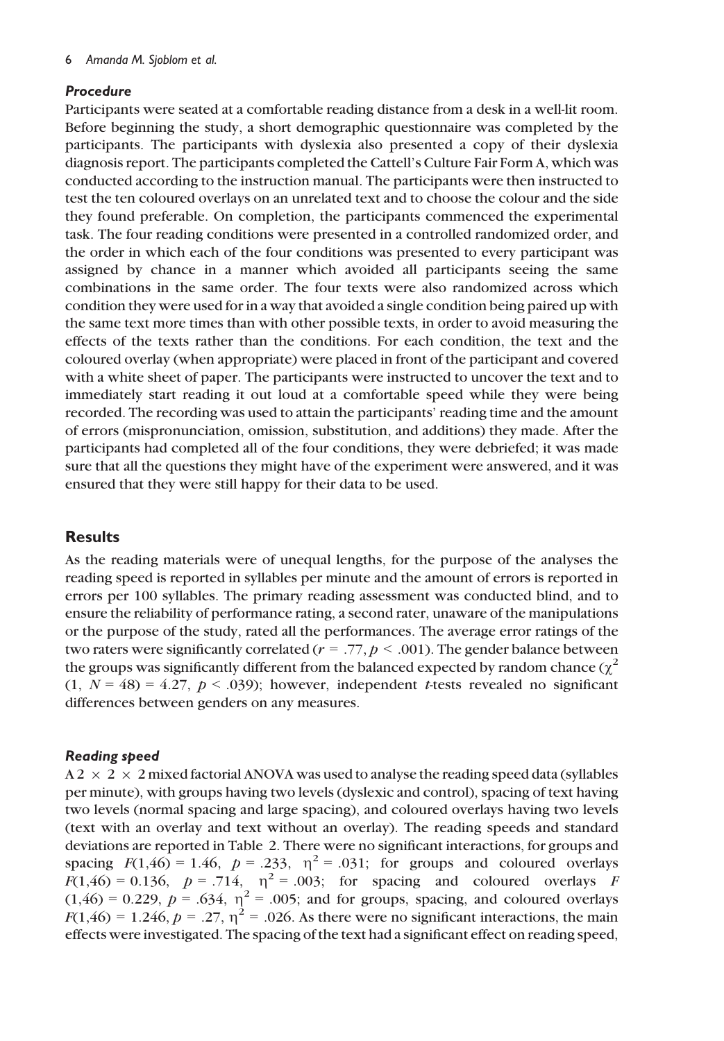# Procedure

Participants were seated at a comfortable reading distance from a desk in a well-lit room. Before beginning the study, a short demographic questionnaire was completed by the participants. The participants with dyslexia also presented a copy of their dyslexia diagnosis report. The participants completed the Cattell's Culture Fair Form A, which was conducted according to the instruction manual. The participants were then instructed to test the ten coloured overlays on an unrelated text and to choose the colour and the side they found preferable. On completion, the participants commenced the experimental task. The four reading conditions were presented in a controlled randomized order, and the order in which each of the four conditions was presented to every participant was assigned by chance in a manner which avoided all participants seeing the same combinations in the same order. The four texts were also randomized across which condition they were used for in a way that avoided a single condition being paired up with the same text more times than with other possible texts, in order to avoid measuring the effects of the texts rather than the conditions. For each condition, the text and the coloured overlay (when appropriate) were placed in front of the participant and covered with a white sheet of paper. The participants were instructed to uncover the text and to immediately start reading it out loud at a comfortable speed while they were being recorded. The recording was used to attain the participants' reading time and the amount of errors (mispronunciation, omission, substitution, and additions) they made. After the participants had completed all of the four conditions, they were debriefed; it was made sure that all the questions they might have of the experiment were answered, and it was ensured that they were still happy for their data to be used.

# Results

As the reading materials were of unequal lengths, for the purpose of the analyses the reading speed is reported in syllables per minute and the amount of errors is reported in errors per 100 syllables. The primary reading assessment was conducted blind, and to ensure the reliability of performance rating, a second rater, unaware of the manipulations or the purpose of the study, rated all the performances. The average error ratings of the two raters were significantly correlated ( $r = .77$ ,  $p < .001$ ). The gender balance between the groups was significantly different from the balanced expected by random chance  $(\chi^2)$  $(1, N = 48) = 4.27, p < .039$ ; however, independent *t*-tests revealed no significant differences between genders on any measures.

## Reading speed

 $A$  2  $\times$  2  $\times$  2 mixed factorial ANOVA was used to analyse the reading speed data (syllables per minute), with groups having two levels (dyslexic and control), spacing of text having two levels (normal spacing and large spacing), and coloured overlays having two levels (text with an overlay and text without an overlay). The reading speeds and standard deviations are reported in Table 2. There were no significant interactions, for groups and spacing  $F(1,46) = 1.46$ ,  $p = .233$ ,  $\eta^2 = .031$ ; for groups and coloured overlays  $F(1,46) = 0.136$ ,  $p = .714$ ,  $\eta^2 = .003$ ; for spacing and coloured overlays F  $(1,46) = 0.229$ ,  $p = .634$ ,  $\eta^2 = .005$ ; and for groups, spacing, and coloured overlays  $F(1,46) = 1.246$ ,  $p = .27$ ,  $\eta^2 = .026$ . As there were no significant interactions, the main effects were investigated. The spacing of the text had a significant effect on reading speed,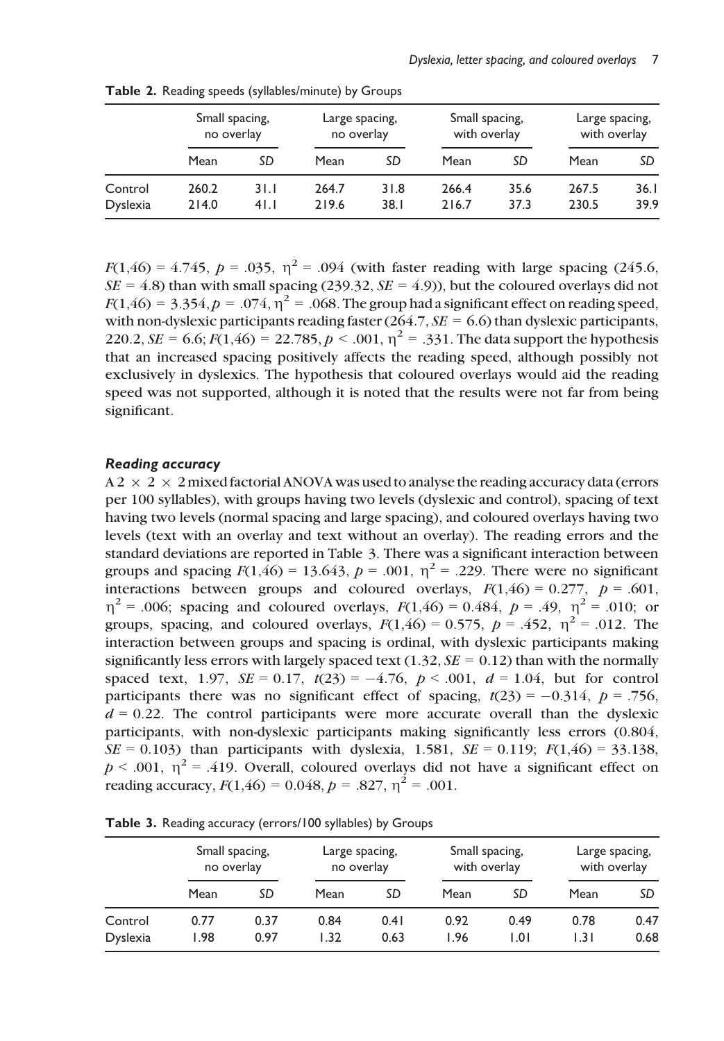|          | Small spacing, |       | Large spacing, |      | Small spacing, |      | Large spacing, |       |
|----------|----------------|-------|----------------|------|----------------|------|----------------|-------|
|          | no overlay     |       | no overlay     |      | with overlay   |      | with overlay   |       |
|          | Mean           | SD    | Mean           | SD   | Mean           | SD   | Mean           | SD    |
| Control  | 260.2          | 3 I.I | 264.7          | 31.8 | 266.4          | 35.6 | 267.5          | 36. I |
| Dyslexia | 214.0          | 41.1  | 219.6          | 38.1 | 216.7          | 37.3 | 230.5          | 39.9  |

Table 2. Reading speeds (syllables/minute) by Groups

 $F(1,46) = 4.745$ ,  $p = .035$ ,  $p^2 = .094$  (with faster reading with large spacing (245.6,  $SE = 4.8$ ) than with small spacing (239.32,  $SE = 4.9$ )), but the coloured overlays did not  $F(1,46) = 3.354, p = .074, \eta^2 = .068$ . The group had a significant effect on reading speed, with non-dyslexic participants reading faster (264.7,  $SE = 6.6$ ) than dyslexic participants, 220.2,  $SE = 6.6$ ;  $F(1,46) = 22.785$ ,  $p < .001$ ,  $\eta^2 = .331$ . The data support the hypothesis that an increased spacing positively affects the reading speed, although possibly not exclusively in dyslexics. The hypothesis that coloured overlays would aid the reading speed was not supported, although it is noted that the results were not far from being significant.

#### Reading accuracy

 $A2 \times 2 \times 2$  mixed factorial ANOVA was used to analyse the reading accuracy data (errors per 100 syllables), with groups having two levels (dyslexic and control), spacing of text having two levels (normal spacing and large spacing), and coloured overlays having two levels (text with an overlay and text without an overlay). The reading errors and the standard deviations are reported in Table 3. There was a significant interaction between groups and spacing  $F(1,46) = 13.643$ ,  $p = .001$ ,  $\eta^2 = .229$ . There were no significant interactions between groups and coloured overlays,  $F(1,46) = 0.277$ ,  $p = .601$ ,  $\eta^2$  = .006; spacing and coloured overlays,  $F(1,46) = 0.484$ ,  $p = .49$ ,  $\eta^2 = .010$ ; or groups, spacing, and coloured overlays,  $F(1,46) = 0.575$ ,  $p = .452$ ,  $\eta^2 = .012$ . The interaction between groups and spacing is ordinal, with dyslexic participants making significantly less errors with largely spaced text  $(1.32, SE = 0.12)$  than with the normally spaced text, 1.97,  $SE = 0.17$ ,  $t(23) = -4.76$ ,  $p < .001$ ,  $d = 1.04$ , but for control participants there was no significant effect of spacing,  $t(23) = -0.314$ ,  $p = .756$ ,  $d = 0.22$ . The control participants were more accurate overall than the dyslexic participants, with non-dyslexic participants making significantly less errors (0.804,  $SE = 0.103$ ) than participants with dyslexia, 1.581,  $SE = 0.119$ ;  $F(1,46) = 33.138$ ,  $p < .001$ ,  $\eta^2 = .419$ . Overall, coloured overlays did not have a significant effect on reading accuracy,  $F(1,46) = 0.048$ ,  $p = .827$ ,  $\eta^2 = .001$ .

|                 | Small spacing,<br>no overlay |      | Large spacing,<br>no overlay |      | Small spacing,<br>with overlay |      | Large spacing,<br>with overlay |      |
|-----------------|------------------------------|------|------------------------------|------|--------------------------------|------|--------------------------------|------|
|                 | Mean                         | SD   | Mean                         | SD   | Mean                           | SD   | Mean                           | SD   |
| Control         | 0.77                         | 0.37 | 0.84                         | 0.41 | 0.92                           | 0.49 | 0.78                           | 0.47 |
| <b>Dyslexia</b> | 1.98                         | 0.97 | 1.32                         | 0.63 | 1.96                           | 1.01 | 1.31                           | 0.68 |

Table 3. Reading accuracy (errors/100 syllables) by Groups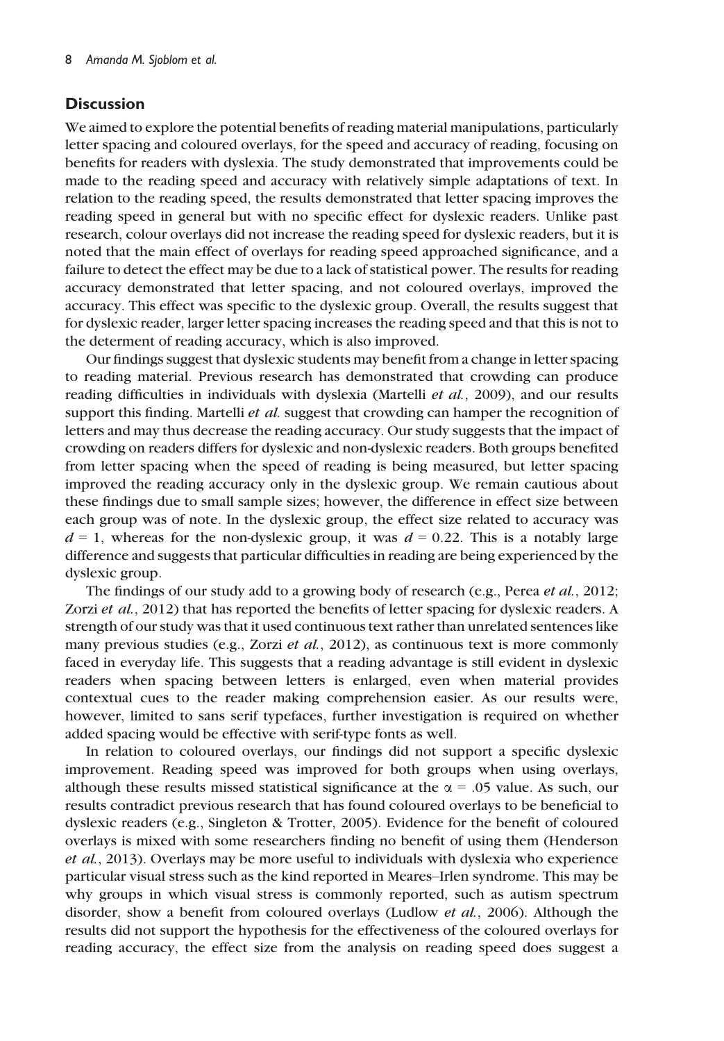# **Discussion**

We aimed to explore the potential benefits of reading material manipulations, particularly letter spacing and coloured overlays, for the speed and accuracy of reading, focusing on benefits for readers with dyslexia. The study demonstrated that improvements could be made to the reading speed and accuracy with relatively simple adaptations of text. In relation to the reading speed, the results demonstrated that letter spacing improves the reading speed in general but with no specific effect for dyslexic readers. Unlike past research, colour overlays did not increase the reading speed for dyslexic readers, but it is noted that the main effect of overlays for reading speed approached significance, and a failure to detect the effect may be due to a lack of statistical power. The results for reading accuracy demonstrated that letter spacing, and not coloured overlays, improved the accuracy. This effect was specific to the dyslexic group. Overall, the results suggest that for dyslexic reader, larger letter spacing increases the reading speed and that this is not to the determent of reading accuracy, which is also improved.

Our findings suggest that dyslexic students may benefit from a change in letter spacing to reading material. Previous research has demonstrated that crowding can produce reading difficulties in individuals with dyslexia (Martelli et al., 2009), and our results support this finding. Martelli *et al.* suggest that crowding can hamper the recognition of letters and may thus decrease the reading accuracy. Our study suggests that the impact of crowding on readers differs for dyslexic and non-dyslexic readers. Both groups benefited from letter spacing when the speed of reading is being measured, but letter spacing improved the reading accuracy only in the dyslexic group. We remain cautious about these findings due to small sample sizes; however, the difference in effect size between each group was of note. In the dyslexic group, the effect size related to accuracy was  $d = 1$ , whereas for the non-dyslexic group, it was  $d = 0.22$ . This is a notably large difference and suggests that particular difficulties in reading are being experienced by the dyslexic group.

The findings of our study add to a growing body of research (e.g., Perea *et al.*, 2012; Zorzi et al., 2012) that has reported the benefits of letter spacing for dyslexic readers. A strength of our study was that it used continuous text rather than unrelated sentences like many previous studies (e.g., Zorzi et al., 2012), as continuous text is more commonly faced in everyday life. This suggests that a reading advantage is still evident in dyslexic readers when spacing between letters is enlarged, even when material provides contextual cues to the reader making comprehension easier. As our results were, however, limited to sans serif typefaces, further investigation is required on whether added spacing would be effective with serif-type fonts as well.

In relation to coloured overlays, our findings did not support a specific dyslexic improvement. Reading speed was improved for both groups when using overlays, although these results missed statistical significance at the  $\alpha$  = .05 value. As such, our results contradict previous research that has found coloured overlays to be beneficial to dyslexic readers (e.g., Singleton & Trotter, 2005). Evidence for the benefit of coloured overlays is mixed with some researchers finding no benefit of using them (Henderson et al., 2013). Overlays may be more useful to individuals with dyslexia who experience particular visual stress such as the kind reported in Meares–Irlen syndrome. This may be why groups in which visual stress is commonly reported, such as autism spectrum disorder, show a benefit from coloured overlays (Ludlow et al., 2006). Although the results did not support the hypothesis for the effectiveness of the coloured overlays for reading accuracy, the effect size from the analysis on reading speed does suggest a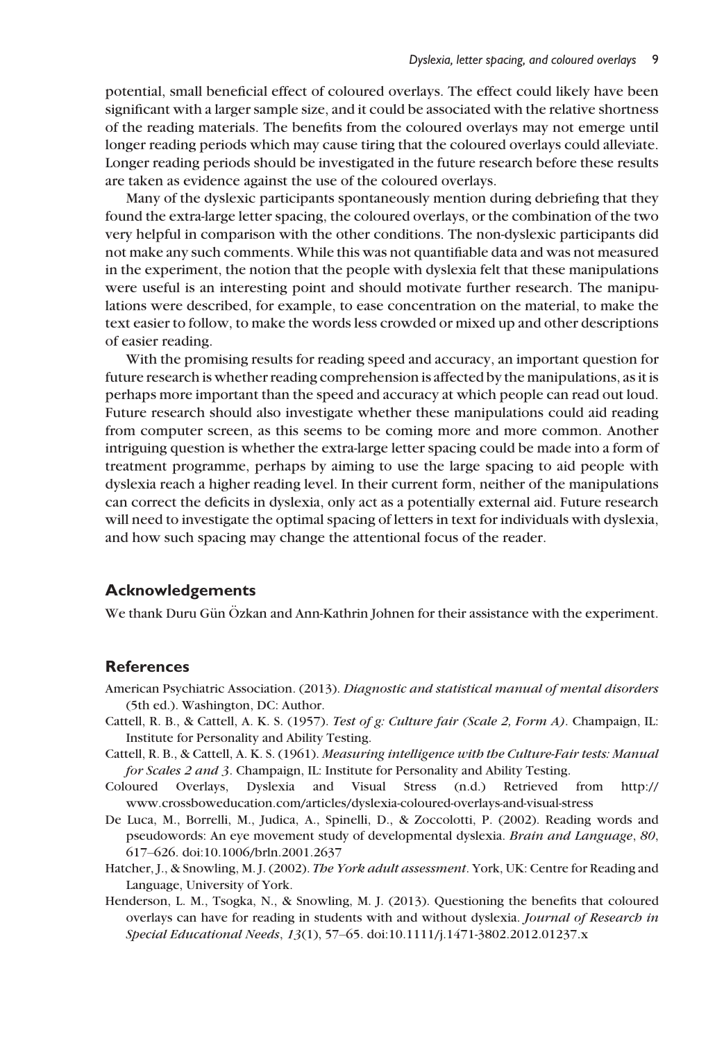potential, small beneficial effect of coloured overlays. The effect could likely have been significant with a larger sample size, and it could be associated with the relative shortness of the reading materials. The benefits from the coloured overlays may not emerge until longer reading periods which may cause tiring that the coloured overlays could alleviate. Longer reading periods should be investigated in the future research before these results are taken as evidence against the use of the coloured overlays.

Many of the dyslexic participants spontaneously mention during debriefing that they found the extra-large letter spacing, the coloured overlays, or the combination of the two very helpful in comparison with the other conditions. The non-dyslexic participants did not make any such comments. While this was not quantifiable data and was not measured in the experiment, the notion that the people with dyslexia felt that these manipulations were useful is an interesting point and should motivate further research. The manipulations were described, for example, to ease concentration on the material, to make the text easier to follow, to make the words less crowded or mixed up and other descriptions of easier reading.

With the promising results for reading speed and accuracy, an important question for future research is whether reading comprehension is affected by the manipulations, as it is perhaps more important than the speed and accuracy at which people can read out loud. Future research should also investigate whether these manipulations could aid reading from computer screen, as this seems to be coming more and more common. Another intriguing question is whether the extra-large letter spacing could be made into a form of treatment programme, perhaps by aiming to use the large spacing to aid people with dyslexia reach a higher reading level. In their current form, neither of the manipulations can correct the deficits in dyslexia, only act as a potentially external aid. Future research will need to investigate the optimal spacing of letters in text for individuals with dyslexia, and how such spacing may change the attentional focus of the reader.

## Acknowledgements

We thank Duru Gün $Q$  Ozkan and Ann-Kathrin Johnen for their assistance with the experiment.

## References

- American Psychiatric Association. (2013). Diagnostic and statistical manual of mental disorders (5th ed.). Washington, DC: Author.
- Cattell, R. B., & Cattell, A. K. S. (1957). Test of g: Culture fair (Scale 2, Form A). Champaign, IL: Institute for Personality and Ability Testing.
- Cattell, R. B., & Cattell, A. K. S. (1961). Measuring intelligence with the Culture-Fair tests: Manual for Scales 2 and 3. Champaign, IL: Institute for Personality and Ability Testing.
- Coloured Overlays, Dyslexia and Visual Stress (n.d.) Retrieved from http:// www.crossboweducation.com/articles/dyslexia-coloured-overlays-and-visual-stress
- De Luca, M., Borrelli, M., Judica, A., Spinelli, D., & Zoccolotti, P. (2002). Reading words and pseudowords: An eye movement study of developmental dyslexia. Brain and Language, 80, 617–626. doi:10.1006/brln.2001.2637
- Hatcher, J., & Snowling, M. J. (2002). The York adult assessment. York, UK: Centre for Reading and Language, University of York.
- Henderson, L. M., Tsogka, N., & Snowling, M. J. (2013). Questioning the benefits that coloured overlays can have for reading in students with and without dyslexia. Journal of Research in Special Educational Needs, 13(1), 57–65. doi:10.1111/j.1471-3802.2012.01237.x